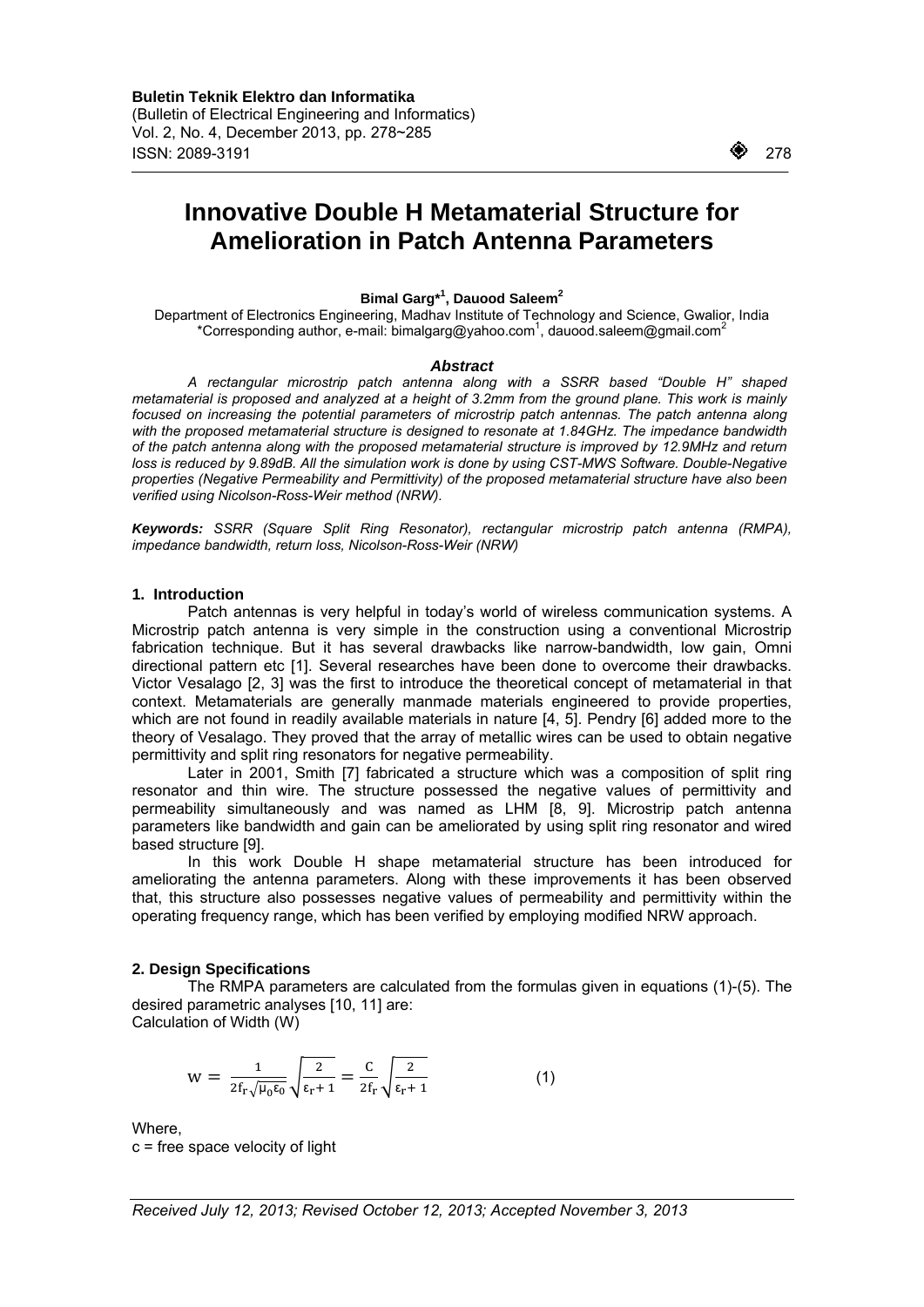$\overline{a}$ 

# **Innovative Double H Metamaterial Structure for Amelioration in Patch Antenna Parameters**

## **Bimal Garg\*1 , Dauood Saleem2**

Department of Electronics Engineering, Madhav Institute of Technology and Science, Gwalior, India \*Corresponding author, e-mail: bimalgarg@yahoo.com<sup>1</sup>, dauood.saleem@gmail.com<sup>2</sup>

## *Abstract*

*A rectangular microstrip patch antenna along with a SSRR based "Double H" shaped metamaterial is proposed and analyzed at a height of 3.2mm from the ground plane. This work is mainly focused on increasing the potential parameters of microstrip patch antennas. The patch antenna along with the proposed metamaterial structure is designed to resonate at 1.84GHz. The impedance bandwidth of the patch antenna along with the proposed metamaterial structure is improved by 12.9MHz and return*  loss is reduced by 9.89dB. All the simulation work is done by using CST-MWS Software. Double-Negative *properties (Negative Permeability and Permittivity) of the proposed metamaterial structure have also been verified using Nicolson-Ross-Weir method (NRW).* 

*Keywords: SSRR (Square Split Ring Resonator), rectangular microstrip patch antenna (RMPA), impedance bandwidth, return loss, Nicolson-Ross-Weir (NRW)* 

## **1. Introduction**

Patch antennas is very helpful in today's world of wireless communication systems. A Microstrip patch antenna is very simple in the construction using a conventional Microstrip fabrication technique. But it has several drawbacks like narrow-bandwidth, low gain, Omni directional pattern etc [1]. Several researches have been done to overcome their drawbacks. Victor Vesalago [2, 3] was the first to introduce the theoretical concept of metamaterial in that context. Metamaterials are generally manmade materials engineered to provide properties, which are not found in readily available materials in nature [4, 5]. Pendry [6] added more to the theory of Vesalago. They proved that the array of metallic wires can be used to obtain negative permittivity and split ring resonators for negative permeability.

Later in 2001, Smith [7] fabricated a structure which was a composition of split ring resonator and thin wire. The structure possessed the negative values of permittivity and permeability simultaneously and was named as LHM [8, 9]. Microstrip patch antenna parameters like bandwidth and gain can be ameliorated by using split ring resonator and wired based structure [9].

In this work Double H shape metamaterial structure has been introduced for ameliorating the antenna parameters. Along with these improvements it has been observed that, this structure also possesses negative values of permeability and permittivity within the operating frequency range, which has been verified by employing modified NRW approach.

## **2. Design Specifications**

The RMPA parameters are calculated from the formulas given in equations (1)-(5). The desired parametric analyses [10, 11] are:

Calculation of Width (W)

$$
w = \frac{1}{2f_r\sqrt{\mu_0\epsilon_0}}\sqrt{\frac{2}{\epsilon_r+1}} = \frac{C}{2f_r}\sqrt{\frac{2}{\epsilon_r+1}}
$$
(1)

Where,

c = free space velocity of light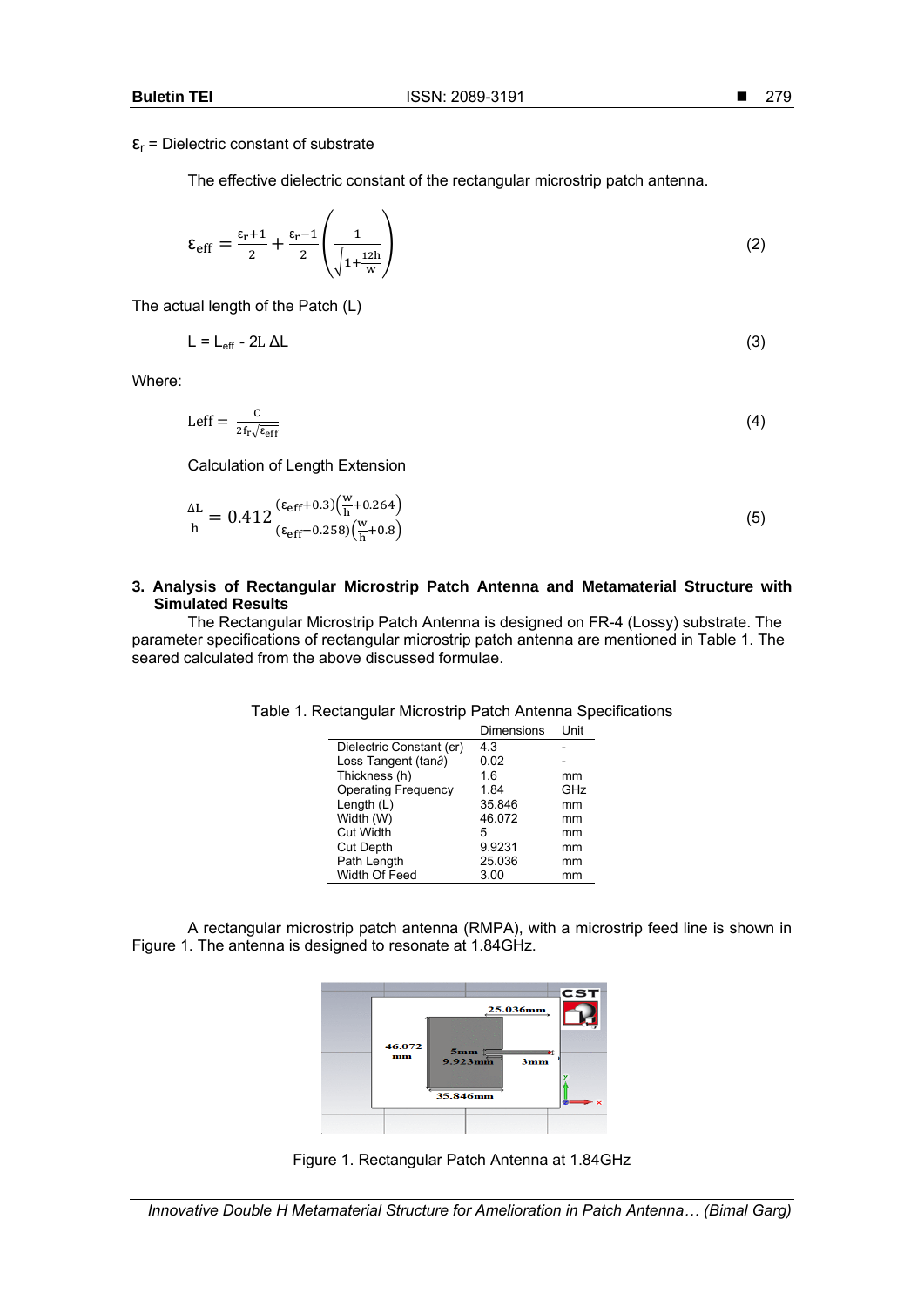The effective dielectric constant of the rectangular microstrip patch antenna.

$$
\varepsilon_{\rm eff} = \frac{\varepsilon_{\rm r} + 1}{2} + \frac{\varepsilon_{\rm r} - 1}{2} \left( \frac{1}{\sqrt{1 + \frac{12h}{w}}} \right)
$$
 (2)

The actual length of the Patch (L)

$$
L = L_{eff} - 2L \Delta L \tag{3}
$$

Where:

$$
\text{Left} = \frac{c}{2f_r\sqrt{\varepsilon_{\text{eff}}}}\tag{4}
$$

Calculation of Length Extension

$$
\frac{\Delta L}{h} = 0.412 \frac{(\epsilon_{eff} + 0.3) \left(\frac{w}{h} + 0.264\right)}{(\epsilon_{eff} - 0.258) \left(\frac{w}{h} + 0.8\right)}
$$
(5)

## **3. Analysis of Rectangular Microstrip Patch Antenna and Metamaterial Structure with Simulated Results**

The Rectangular Microstrip Patch Antenna is designed on FR-4 (Lossy) substrate. The parameter specifications of rectangular microstrip patch antenna are mentioned in Table 1. The seared calculated from the above discussed formulae.

|                                | Dimensions | Unit |
|--------------------------------|------------|------|
| Dielectric Constant (er)       | 4.3        |      |
| Loss Tangent (tan $\partial$ ) | 0.02       |      |
| Thickness (h)                  | 1.6        | mm   |
| <b>Operating Frequency</b>     | 1.84       | GHz  |
| Length $(L)$                   | 35.846     | mm   |
| Width (W)                      | 46.072     | mm   |
| <b>Cut Width</b>               | 5          | mm   |
| <b>Cut Depth</b>               | 9.9231     | mm   |
| Path Length                    | 25.036     | mm   |
| Width Of Feed                  | 3.00       | mm   |

# Table 1. Rectangular Microstrip Patch Antenna Specifications

A rectangular microstrip patch antenna (RMPA), with a microstrip feed line is shown in Figure 1. The antenna is designed to resonate at 1.84GHz.



Figure 1. Rectangular Patch Antenna at 1.84GHz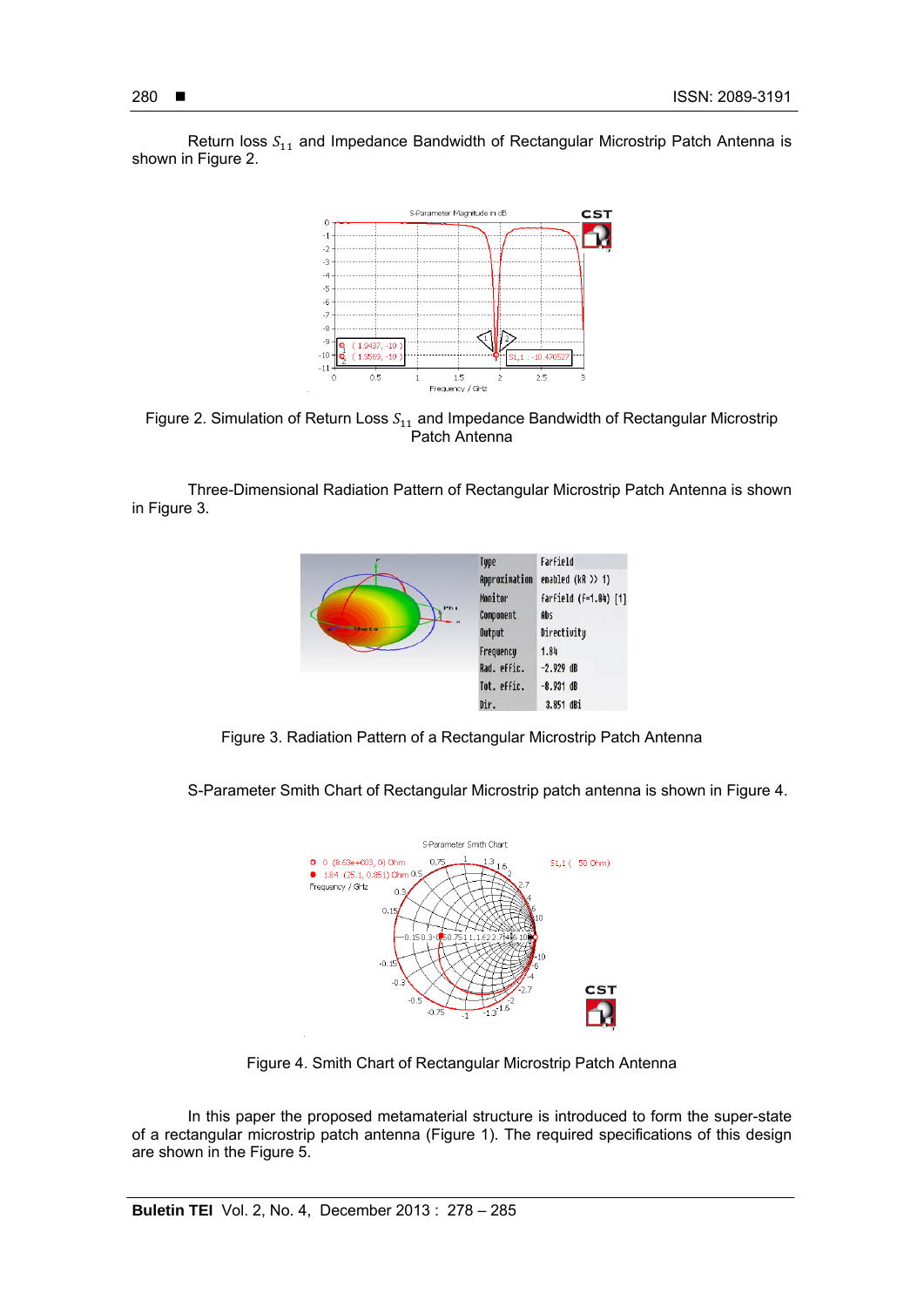

Return loss  $S_{11}$  and Impedance Bandwidth of Rectangular Microstrip Patch Antenna is shown in Figure 2.

Figure 2. Simulation of Return Loss  $S_{11}$  and Impedance Bandwidth of Rectangular Microstrip Patch Antenna

Three-Dimensional Radiation Pattern of Rectangular Microstrip Patch Antenna is shown in Figure 3.



Figure 3. Radiation Pattern of a Rectangular Microstrip Patch Antenna

S-Parameter Smith Chart of Rectangular Microstrip patch antenna is shown in Figure 4.



Figure 4. Smith Chart of Rectangular Microstrip Patch Antenna

In this paper the proposed metamaterial structure is introduced to form the super-state of a rectangular microstrip patch antenna (Figure 1). The required specifications of this design are shown in the Figure 5.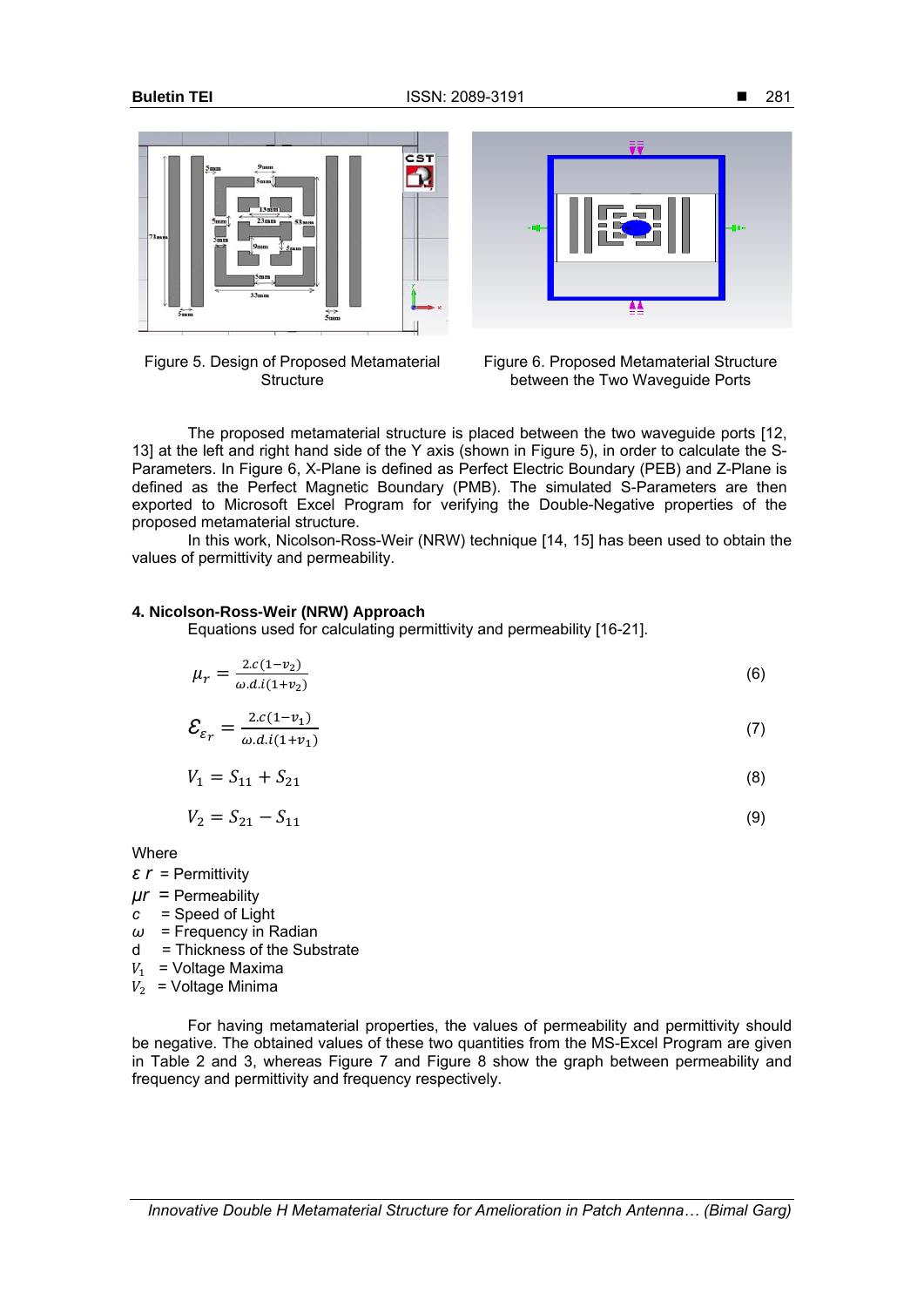

|           |  |  | Figure 5. Design of Proposed Metamaterial |  |  |
|-----------|--|--|-------------------------------------------|--|--|
| Structure |  |  |                                           |  |  |





The proposed metamaterial structure is placed between the two waveguide ports [12, 13] at the left and right hand side of the Y axis (shown in Figure 5), in order to calculate the S-Parameters. In Figure 6, X-Plane is defined as Perfect Electric Boundary (PEB) and Z-Plane is defined as the Perfect Magnetic Boundary (PMB). The simulated S-Parameters are then exported to Microsoft Excel Program for verifying the Double-Negative properties of the proposed metamaterial structure.

In this work, Nicolson-Ross-Weir (NRW) technique [14, 15] has been used to obtain the values of permittivity and permeability.

## **4. Nicolson-Ross-Weir (NRW) Approach**

Equations used for calculating permittivity and permeability [16-21].

$$
\mu_r = \frac{2 \cdot c(1 - v_2)}{\omega \cdot d \cdot i(1 + v_2)}\tag{6}
$$

$$
\mathcal{E}_{\varepsilon_r} = \frac{2c(1-v_1)}{\omega \cdot d \cdot i(1+v_1)}\tag{7}
$$

$$
V_1 = S_{11} + S_{21} \tag{8}
$$

$$
V_2 = S_{21} - S_{11} \tag{9}
$$

**Where** 

- *ε r* = Permittivity
- *μr* = Permeability
- *c* = Speed of Light
- *ω* = Frequency in Radian
- d = Thickness of the Substrate
- $V_1$  = Voltage Maxima
- $\overline{V_2}$  = Voltage Minima

For having metamaterial properties, the values of permeability and permittivity should be negative. The obtained values of these two quantities from the MS-Excel Program are given in Table 2 and 3, whereas Figure 7 and Figure 8 show the graph between permeability and frequency and permittivity and frequency respectively.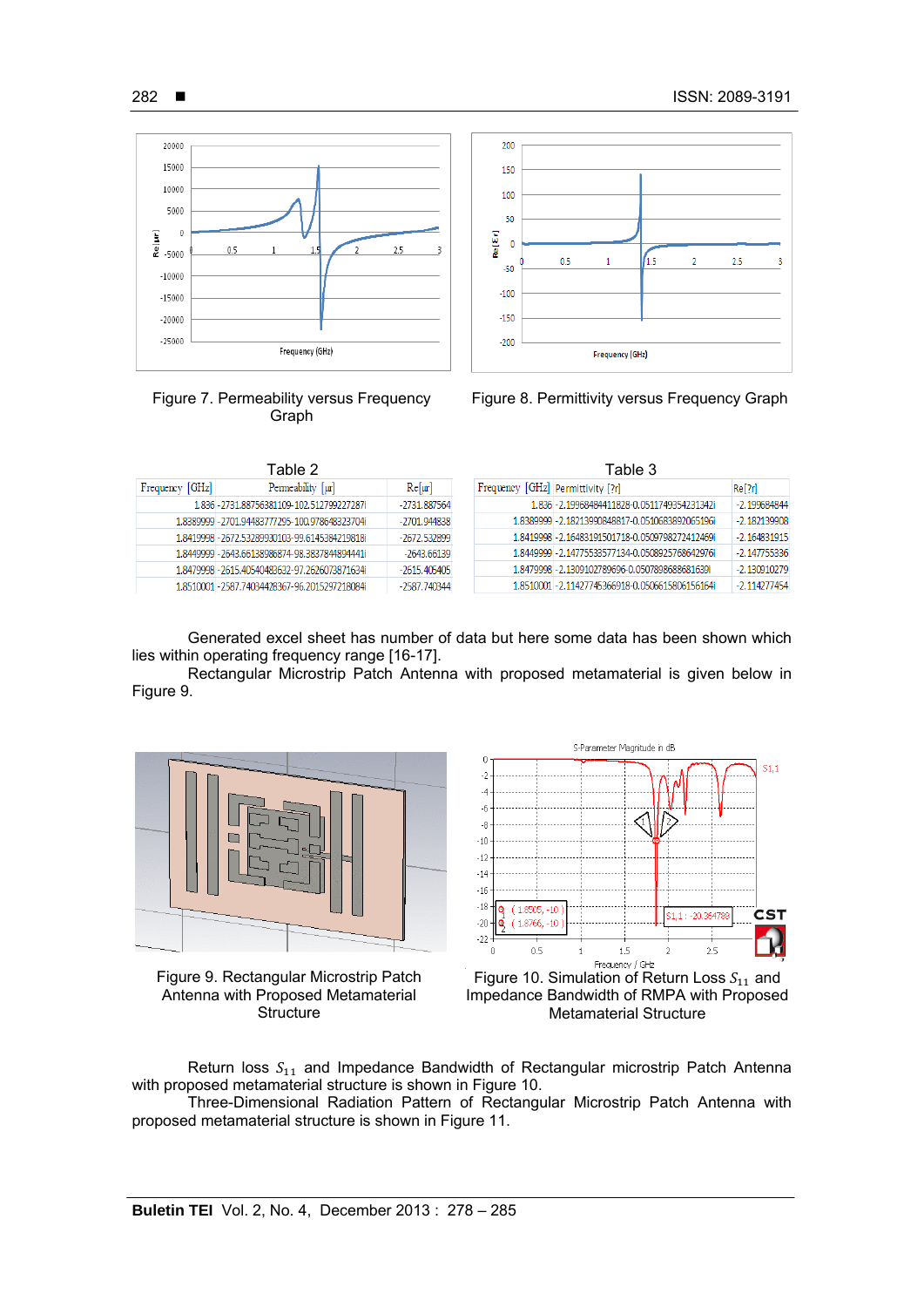$2.5$ 

 $-2.130910279$ 

 $-2.114277454$ 







1.8479998 - 2.1309102789696-0.0507898688681639i

1.8510001 - 2.11427745366918-0.0506615806156164i

Frequency (GHz)

Frequency [GHz] Permeability [µr] 1.836 - 2731.88756381109-102.512799227287 -2731.887564 1.8389999 - 2701.94483777295-100.978648323704 -2701.944838 1.8419998 - 2672.53289930103-99.6145384219818  $-2672.532899$ 1.8449999 - 2643.66138986874-98.3837844894441i  $-2643.66139$ 1.8479998 - 2615.40540483632-97.2626073871634i  $-2615.405405$ 1.8510001 - 2587.74034428367-96.2015297218084i  $-2587.740344$ 

|  | Generated excel sheet has number of data but here some data has been shown which |  |  |  |  |  |
|--|----------------------------------------------------------------------------------|--|--|--|--|--|
|  | lies within operating frequency range [16-17].                                   |  |  |  |  |  |

200

150

100

50

 $-50$ 

 $-100$ 

 $-150$ 

 $-200$ 

 $0.5$ 

4.5

<sup>2</sup>

**RelEr**  $\overline{\mathbf{0}}$ 

Rectangular Microstrip Patch Antenna with proposed metamaterial is given below in Figure 9.



Figure 9. Rectangular Microstrip Patch Antenna with Proposed Metamaterial **Structure** 



Frequency / GHz<br>Figure 10. Simulation of Return Loss  $S_{11}$  and Impedance Bandwidth of RMPA with Proposed Metamaterial Structure

Return loss  $S_{11}$  and Impedance Bandwidth of Rectangular microstrip Patch Antenna with proposed metamaterial structure is shown in Figure 10.

Three-Dimensional Radiation Pattern of Rectangular Microstrip Patch Antenna with proposed metamaterial structure is shown in Figure 11.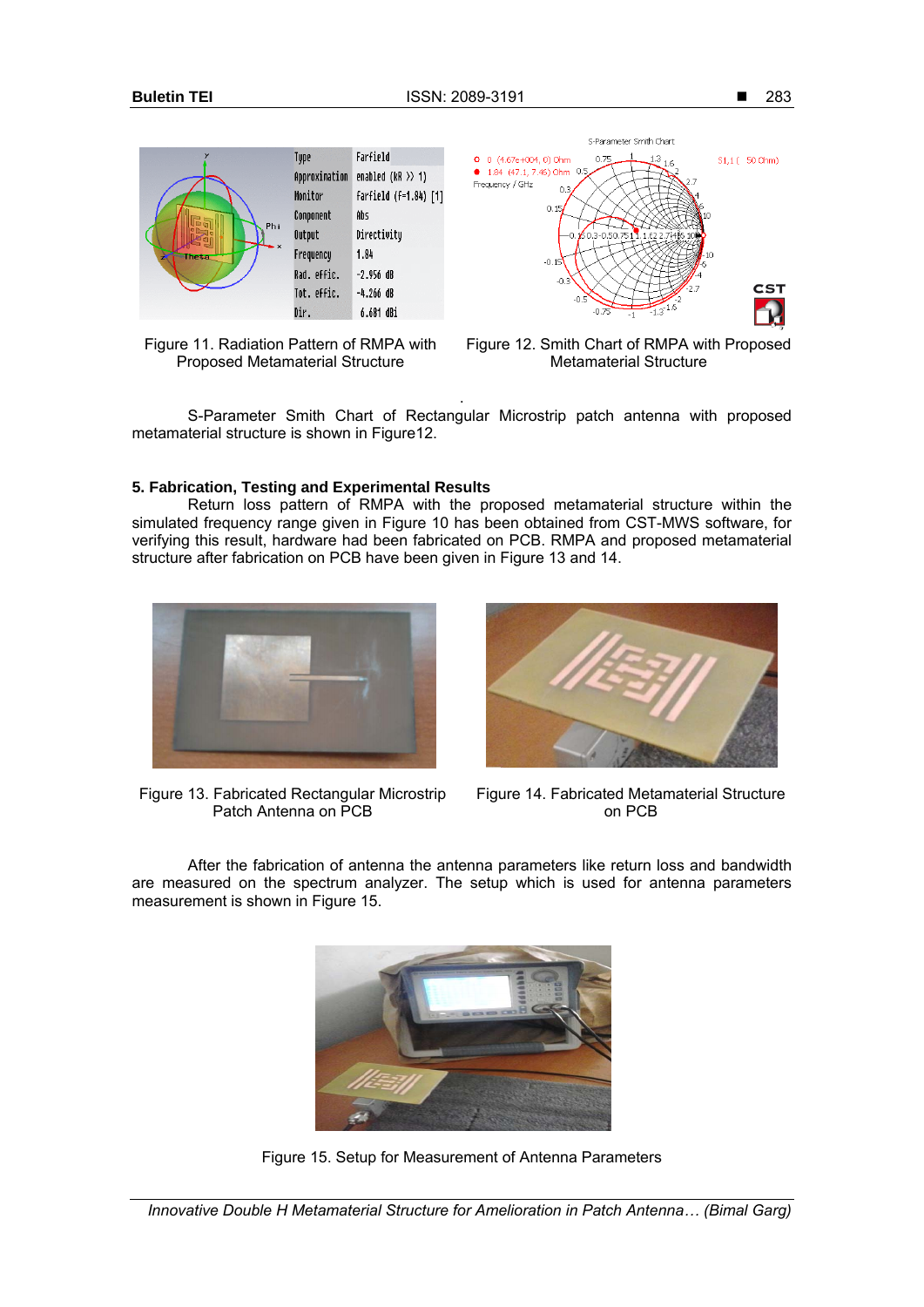283







Figure 12. Smith Chart of RMPA with Proposed Metamaterial Structure

. S-Parameter Smith Chart of Rectangular Microstrip patch antenna with proposed metamaterial structure is shown in Figure12.

## **5. Fabrication, Testing and Experimental Results**

Return loss pattern of RMPA with the proposed metamaterial structure within the simulated frequency range given in Figure 10 has been obtained from CST-MWS software, for verifying this result, hardware had been fabricated on PCB. RMPA and proposed metamaterial structure after fabrication on PCB have been given in Figure 13 and 14.



Figure 13. Fabricated Rectangular Microstrip Patch Antenna on PCB



Figure 14. Fabricated Metamaterial Structure on PCB

After the fabrication of antenna the antenna parameters like return loss and bandwidth are measured on the spectrum analyzer. The setup which is used for antenna parameters measurement is shown in Figure 15.



Figure 15. Setup for Measurement of Antenna Parameters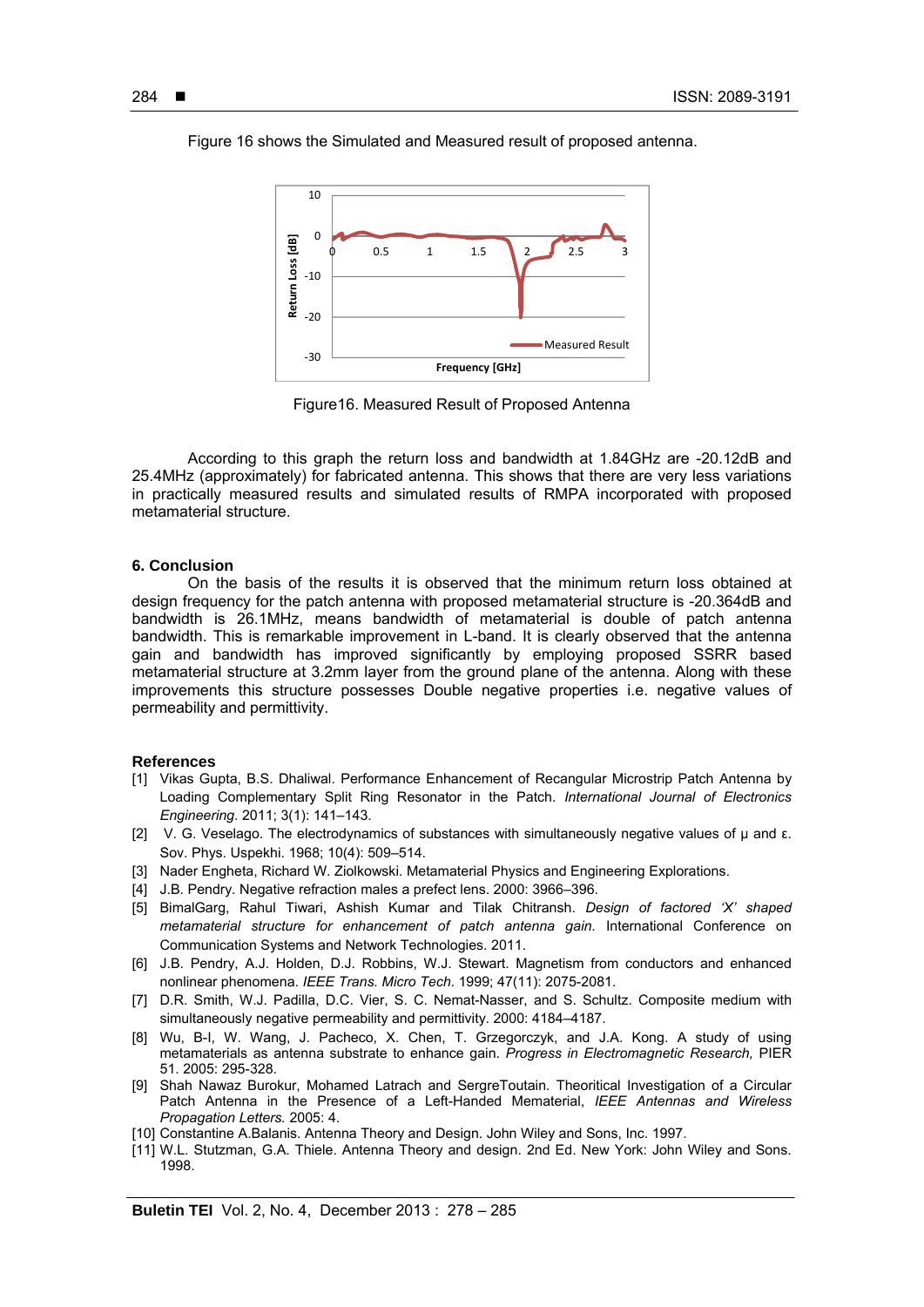Figure 16 shows the Simulated and Measured result of proposed antenna.



Figure16. Measured Result of Proposed Antenna

According to this graph the return loss and bandwidth at 1.84GHz are -20.12dB and 25.4MHz (approximately) for fabricated antenna. This shows that there are very less variations in practically measured results and simulated results of RMPA incorporated with proposed metamaterial structure.

### **6. Conclusion**

On the basis of the results it is observed that the minimum return loss obtained at design frequency for the patch antenna with proposed metamaterial structure is -20.364dB and bandwidth is 26.1MHz, means bandwidth of metamaterial is double of patch antenna bandwidth. This is remarkable improvement in L-band. It is clearly observed that the antenna gain and bandwidth has improved significantly by employing proposed SSRR based metamaterial structure at 3.2mm layer from the ground plane of the antenna. Along with these improvements this structure possesses Double negative properties i.e. negative values of permeability and permittivity.

### **References**

- [1] Vikas Gupta, B.S. Dhaliwal. Performance Enhancement of Recangular Microstrip Patch Antenna by Loading Complementary Split Ring Resonator in the Patch. *International Journal of Electronics Engineering*. 2011; 3(1): 141–143.
- [2] V. G. Veselago. The electrodynamics of substances with simultaneously negative values of μ and ε. Sov. Phys. Uspekhi. 1968; 10(4): 509–514.
- [3] Nader Engheta, Richard W. Ziolkowski. Metamaterial Physics and Engineering Explorations.
- [4] J.B. Pendry. Negative refraction males a prefect lens. 2000: 3966-396.
- [5] BimalGarg, Rahul Tiwari, Ashish Kumar and Tilak Chitransh. *Design of factored 'X' shaped metamaterial structure for enhancement of patch antenna gain*. International Conference on Communication Systems and Network Technologies. 2011.
- [6] J.B. Pendry, A.J. Holden, D.J. Robbins, W.J. Stewart. Magnetism from conductors and enhanced nonlinear phenomena. *IEEE Trans. Micro Tech*. 1999; 47(11): 2075-2081.
- [7] D.R. Smith, W.J. Padilla, D.C. Vier, S. C. Nemat-Nasser, and S. Schultz. Composite medium with simultaneously negative permeability and permittivity. 2000: 4184–4187.
- [8] Wu, B-I, W. Wang, J. Pacheco, X. Chen, T. Grzegorczyk, and J.A. Kong. A study of using metamaterials as antenna substrate to enhance gain. *Progress in Electromagnetic Research,* PIER 51. 2005: 295-328.
- [9] Shah Nawaz Burokur, Mohamed Latrach and SergreToutain. Theoritical Investigation of a Circular Patch Antenna in the Presence of a Left-Handed Mematerial, *IEEE Antennas and Wireless Propagation Letters.* 2005: 4.
- [10] Constantine A.Balanis. Antenna Theory and Design. John Wiley and Sons, Inc. 1997.
- [11] W.L. Stutzman, G.A. Thiele. Antenna Theory and design. 2nd Ed. New York: John Wiley and Sons. 1998.